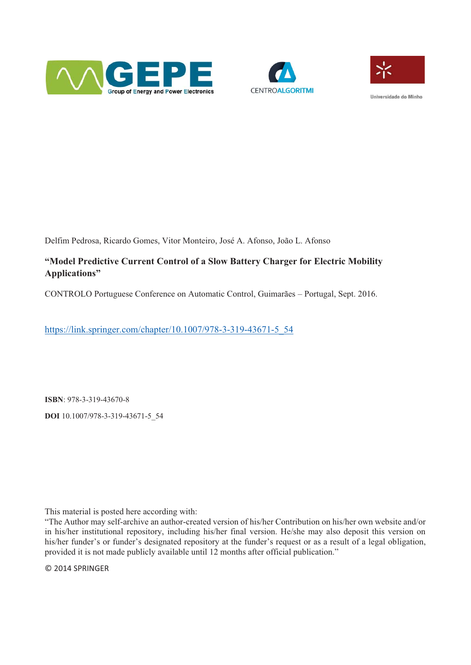





Hniversidade do Minho

Delfim Pedrosa, Ricardo Gomes, Vitor Monteiro, José A. Afonso, João L. Afonso

# **"Model Predictive Current Control of a Slow Battery Charger for Electric Mobility Applications"**

CONTROLO Portuguese Conference on Automatic Control, Guimarães – Portugal, Sept. 2016.

https://link.springer.com/chapter/10.1007/978-3-319-43671-5\_54

**ISBN**: 978-3-319-43670-8 **DOI** 10.1007/978-3-319-43671-5\_54

This material is posted here according with:

"The Author may self-archive an author-created version of his/her Contribution on his/her own website and/or in his/her institutional repository, including his/her final version. He/she may also deposit this version on his/her funder's or funder's designated repository at the funder's request or as a result of a legal obligation, provided it is not made publicly available until 12 months after official publication."

© 2014 SPRINGER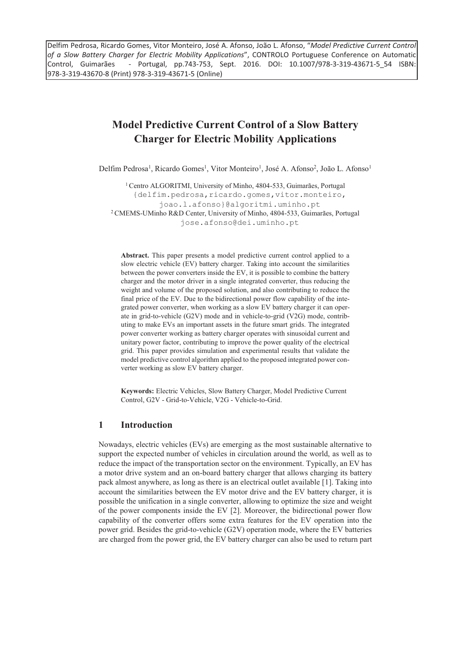Delfim Pedrosa, Ricardo Gomes, Vitor Monteiro, José A. Afonso, João L. Afonso, "*Model Predictive Current Control of a Slow Battery Charger for Electric Mobility Applications*", CONTROLO Portuguese Conference on Automatic Control, Guimarães - Portugal, pp.743-753, Sept. 2016. DOI: 10.1007/978-3-319-43671-5\_54 ISBN: 978-3-319-43670-8 (Print) 978-3-319-43671-5 (Online)

# **Model Predictive Current Control of a Slow Battery Charger for Electric Mobility Applications**

Delfim Pedrosa<sup>1</sup>, Ricardo Gomes<sup>1</sup>, Vitor Monteiro<sup>1</sup>, José A. Afonso<sup>2</sup>, João L. Afonso<sup>1</sup>

<sup>1</sup> Centro ALGORITMI, University of Minho, 4804-533, Guimarães, Portugal {delfim.pedrosa,ricardo.gomes,vitor.monteiro, joao.l.afonso}@algoritmi.uminho.pt 2 CMEMS-UMinho R&D Center, University of Minho, 4804-533, Guimarães, Portugal jose.afonso@dei.uminho.pt

**Abstract.** This paper presents a model predictive current control applied to a slow electric vehicle (EV) battery charger. Taking into account the similarities between the power converters inside the EV, it is possible to combine the battery charger and the motor driver in a single integrated converter, thus reducing the weight and volume of the proposed solution, and also contributing to reduce the final price of the EV. Due to the bidirectional power flow capability of the integrated power converter, when working as a slow EV battery charger it can operate in grid-to-vehicle (G2V) mode and in vehicle-to-grid (V2G) mode, contributing to make EVs an important assets in the future smart grids. The integrated power converter working as battery charger operates with sinusoidal current and unitary power factor, contributing to improve the power quality of the electrical grid. This paper provides simulation and experimental results that validate the model predictive control algorithm applied to the proposed integrated power converter working as slow EV battery charger.

**Keywords:** Electric Vehicles, Slow Battery Charger, Model Predictive Current Control, G2V - Grid-to-Vehicle, V2G - Vehicle-to-Grid.

# **1 Introduction**

Nowadays, electric vehicles (EVs) are emerging as the most sustainable alternative to support the expected number of vehicles in circulation around the world, as well as to reduce the impact of the transportation sector on the environment. Typically, an EV has a motor drive system and an on-board battery charger that allows charging its battery pack almost anywhere, as long as there is an electrical outlet available [1]. Taking into account the similarities between the EV motor drive and the EV battery charger, it is possible the unification in a single converter, allowing to optimize the size and weight of the power components inside the EV [2]. Moreover, the bidirectional power flow capability of the converter offers some extra features for the EV operation into the power grid. Besides the grid-to-vehicle (G2V) operation mode, where the EV batteries are charged from the power grid, the EV battery charger can also be used to return part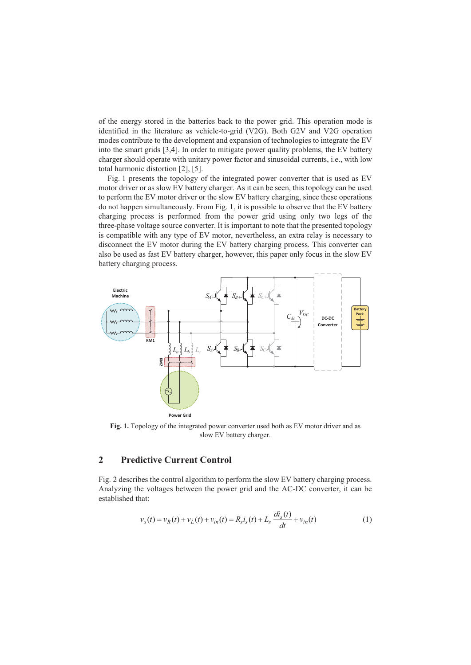of the energy stored in the batteries back to the power grid. This operation mode is identified in the literature as vehicle-to-grid (V2G). Both G2V and V2G operation modes contribute to the development and expansion of technologies to integrate the EV into the smart grids [3,4]. In order to mitigate power quality problems, the EV battery charger should operate with unitary power factor and sinusoidal currents, i.e., with low total harmonic distortion [2], [5].

Fig. 1 presents the topology of the integrated power converter that is used as EV motor driver or as slow EV battery charger. As it can be seen, this topology can be used to perform the EV motor driver or the slow EV battery charging, since these operations do not happen simultaneously. From Fig. 1, it is possible to observe that the EV battery charging process is performed from the power grid using only two legs of the three-phase voltage source converter. It is important to note that the presented topology is compatible with any type of EV motor, nevertheless, an extra relay is necessary to disconnect the EV motor during the EV battery charging process. This converter can also be used as fast EV battery charger, however, this paper only focus in the slow EV battery charging process.



**Fig. 1.** Topology of the integrated power converter used both as EV motor driver and as slow EV battery charger.

# **2 Predictive Current Control**

Fig. 2 describes the control algorithm to perform the slow EV battery charging process. Analyzing the voltages between the power grid and the AC-DC converter, it can be established that:

$$
v_s(t) = v_R(t) + v_L(t) + v_{in}(t) = R_s i_s(t) + L_s \frac{di_s(t)}{dt} + v_{in}(t)
$$
 (1)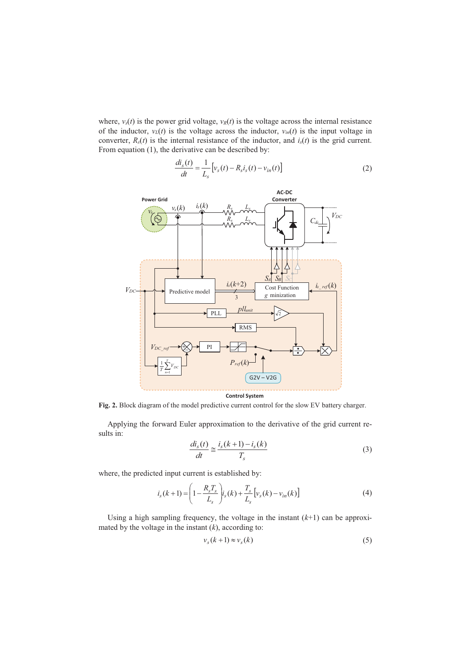where,  $v_s(t)$  is the power grid voltage,  $v_R(t)$  is the voltage across the internal resistance of the inductor,  $v_L(t)$  is the voltage across the inductor,  $v_{in}(t)$  is the input voltage in converter,  $R_s(t)$  is the internal resistance of the inductor, and  $i_s(t)$  is the grid current. From equation (1), the derivative can be described by:

$$
\frac{di_s(t)}{dt} = \frac{1}{L_s} \left[ v_s(t) - R_s i_s(t) - v_{in}(t) \right]
$$
 (2)



**Fig. 2.** Block diagram of the model predictive current control for the slow EV battery charger.

Applying the forward Euler approximation to the derivative of the grid current results in:

$$
\frac{di_s(t)}{dt} \approx \frac{i_s(k+1) - i_s(k)}{T_s} \tag{3}
$$

where, the predicted input current is established by:

$$
i_{s}(k+1) = \left(1 - \frac{R_{s}T_{s}}{L_{s}}\right) i_{s}(k) + \frac{T_{s}}{L_{s}}\left[v_{s}(k) - v_{in}(k)\right]
$$
(4)

Using a high sampling frequency, the voltage in the instant  $(k+1)$  can be approximated by the voltage in the instant  $(k)$ , according to:

$$
\nu_s(k+1) \approx \nu_s(k) \tag{5}
$$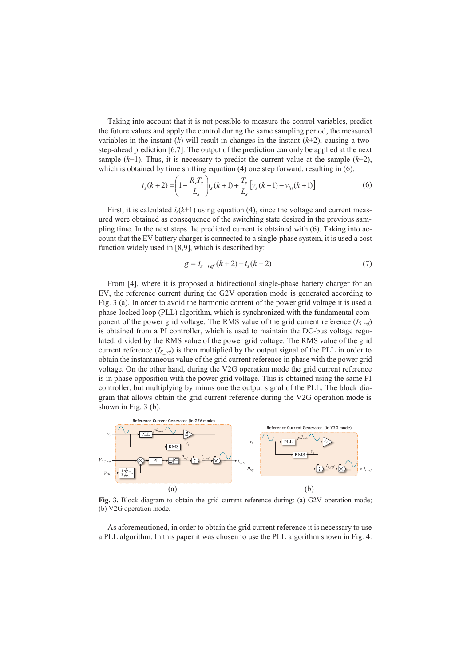Taking into account that it is not possible to measure the control variables, predict the future values and apply the control during the same sampling period, the measured variables in the instant  $(k)$  will result in changes in the instant  $(k+2)$ , causing a twostep-ahead prediction [6,7]. The output of the prediction can only be applied at the next sample  $(k+1)$ . Thus, it is necessary to predict the current value at the sample  $(k+2)$ , which is obtained by time shifting equation (4) one step forward, resulting in (6).

$$
i_s(k+2) = \left(1 - \frac{R_s T_s}{L_s}\right) i_s(k+1) + \frac{T_s}{L_s} \left[v_s(k+1) - v_{in}(k+1)\right]
$$
 (6)

First, it is calculated  $i_s(k+1)$  using equation (4), since the voltage and current measured were obtained as consequence of the switching state desired in the previous sampling time. In the next steps the predicted current is obtained with (6). Taking into account that the EV battery charger is connected to a single-phase system, it is used a cost function widely used in [8,9], which is described by:

$$
g = |i_{s_{\text{ref}}}(k+2) - i_{s}(k+2)| \tag{7}
$$

From [4], where it is proposed a bidirectional single-phase battery charger for an EV, the reference current during the G2V operation mode is generated according to Fig. 3 (a). In order to avoid the harmonic content of the power grid voltage it is used a phase-locked loop (PLL) algorithm, which is synchronized with the fundamental component of the power grid voltage. The RMS value of the grid current reference (*IS\_ref*) is obtained from a PI controller, which is used to maintain the DC-bus voltage regulated, divided by the RMS value of the power grid voltage. The RMS value of the grid current reference  $(I_{S\text{ref}})$  is then multiplied by the output signal of the PLL in order to obtain the instantaneous value of the grid current reference in phase with the power grid voltage. On the other hand, during the V2G operation mode the grid current reference is in phase opposition with the power grid voltage. This is obtained using the same PI controller, but multiplying by minus one the output signal of the PLL. The block diagram that allows obtain the grid current reference during the V2G operation mode is shown in Fig. 3 (b).



**Fig. 3.** Block diagram to obtain the grid current reference during: (a) G2V operation mode; (b) V2G operation mode.

As aforementioned, in order to obtain the grid current reference it is necessary to use a PLL algorithm. In this paper it was chosen to use the PLL algorithm shown in Fig. 4.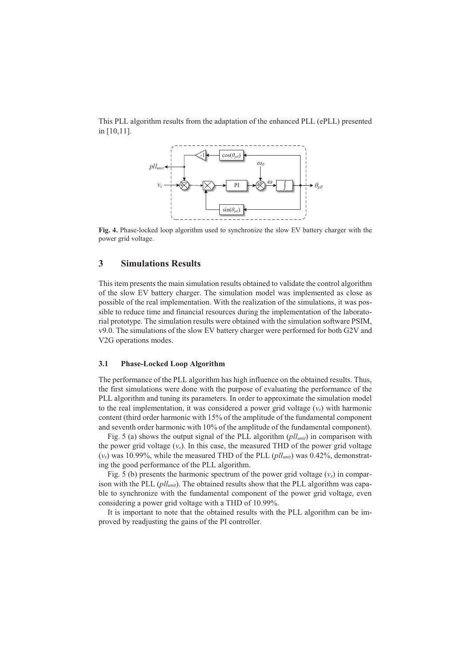This PLL algorithm results from the adaptation of the enhanced PLL (ePLL) presented in [10,11].



**Fig. 4.** Phase-locked loop algorithm used to synchronize the slow EV battery charger with the power grid voltage.

# **3 Simulations Results**

This item presents the main simulation results obtained to validate the control algorithm of the slow EV battery charger. The simulation model was implemented as close as possible of the real implementation. With the realization of the simulations, it was possible to reduce time and financial resources during the implementation of the laboratorial prototype. The simulation results were obtained with the simulation software PSIM, v9.0. The simulations of the slow EV battery charger were performed for both G2V and V2G operations modes.

#### **3.1 Phase-Locked Loop Algorithm**

The performance of the PLL algorithm has high influence on the obtained results. Thus, the first simulations were done with the purpose of evaluating the performance of the PLL algorithm and tuning its parameters. In order to approximate the simulation model to the real implementation, it was considered a power grid voltage  $(v_s)$  with harmonic content (third order harmonic with 15% of the amplitude of the fundamental component and seventh order harmonic with 10% of the amplitude of the fundamental component).

Fig. 5 (a) shows the output signal of the PLL algorithm (*pllunit*) in comparison with the power grid voltage  $(v_s)$ . In this case, the measured THD of the power grid voltage (*vs*) was 10.99%, while the measured THD of the PLL (*pllunit*) was 0.42%, demonstrating the good performance of the PLL algorithm.

Fig. 5 (b) presents the harmonic spectrum of the power grid voltage  $(v<sub>s</sub>)$  in comparison with the PLL (*pll<sub>unit</sub>*). The obtained results show that the PLL algorithm was capable to synchronize with the fundamental component of the power grid voltage, even considering a power grid voltage with a THD of 10.99%.

It is important to note that the obtained results with the PLL algorithm can be improved by readjusting the gains of the PI controller.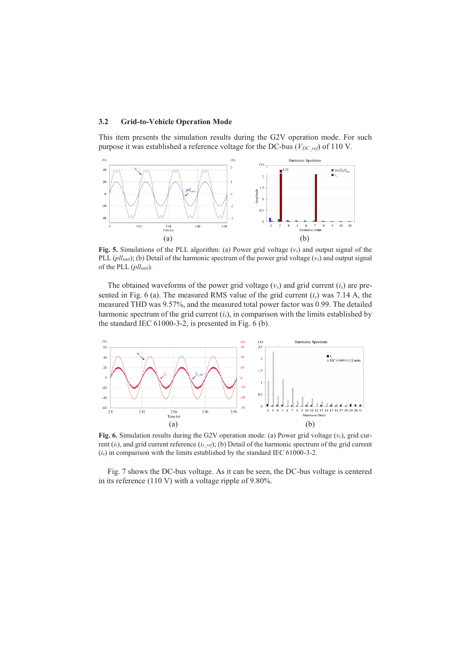#### **3.2 Grid-to-Vehicle Operation Mode**

This item presents the simulation results during the G2V operation mode. For such purpose it was established a reference voltage for the DC-bus ( $V_{DC\,ref}$ ) of 110 V.



**Fig. 5.** Simulations of the PLL algorithm: (a) Power grid voltage  $(v_s)$  and output signal of the PLL (*pllunit*); (b) Detail of the harmonic spectrum of the power grid voltage (*vs*) and output signal of the PLL (*pllunit*).

The obtained waveforms of the power grid voltage  $(v<sub>s</sub>)$  and grid current  $(i<sub>s</sub>)$  are presented in Fig. 6 (a). The measured RMS value of the grid current (*is*) was 7.14 A, the measured THD was 9.57%, and the measured total power factor was 0.99. The detailed harmonic spectrum of the grid current (*is*), in comparison with the limits established by the standard IEC 61000-3-2, is presented in Fig. 6 (b).



**Fig. 6.** Simulation results during the G2V operation mode: (a) Power grid voltage (*vs*), grid current (*is*), and grid current reference (*is\_ref*); (b) Detail of the harmonic spectrum of the grid current (*is*) in comparison with the limits established by the standard IEC 61000-3-2.

Fig. 7 shows the DC-bus voltage. As it can be seen, the DC-bus voltage is centered in its reference (110 V) with a voltage ripple of 9.80%.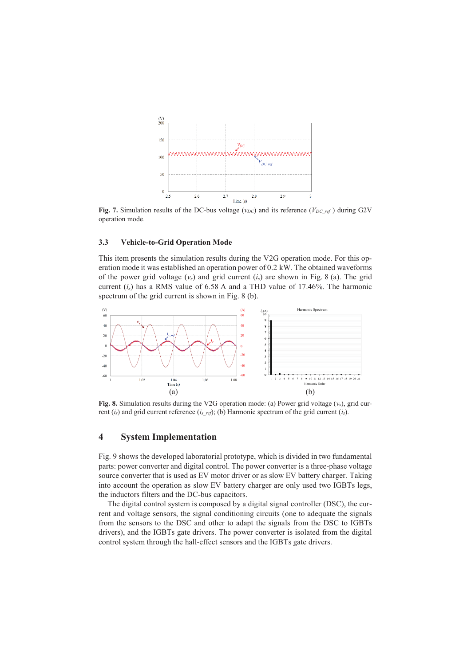

Fig. 7. Simulation results of the DC-bus voltage ( $v_{DC}$ ) and its reference ( $V_{DC\_ref}$ ) during G2V operation mode.

#### **3.3 Vehicle-to-Grid Operation Mode**

This item presents the simulation results during the V2G operation mode. For this operation mode it was established an operation power of 0.2 kW. The obtained waveforms of the power grid voltage  $(v_s)$  and grid current  $(i_s)$  are shown in Fig. 8 (a). The grid current  $(i<sub>s</sub>)$  has a RMS value of 6.58 A and a THD value of 17.46%. The harmonic spectrum of the grid current is shown in Fig. 8 (b).



**Fig. 8.** Simulation results during the V2G operation mode: (a) Power grid voltage (*vs*), grid current (*is*) and grid current reference (*is\_ref*); (b) Harmonic spectrum of the grid current (*is*).

# **4 System Implementation**

Fig. 9 shows the developed laboratorial prototype, which is divided in two fundamental parts: power converter and digital control. The power converter is a three-phase voltage source converter that is used as EV motor driver or as slow EV battery charger. Taking into account the operation as slow EV battery charger are only used two IGBTs legs, the inductors filters and the DC-bus capacitors.

The digital control system is composed by a digital signal controller (DSC), the current and voltage sensors, the signal conditioning circuits (one to adequate the signals from the sensors to the DSC and other to adapt the signals from the DSC to IGBTs drivers), and the IGBTs gate drivers. The power converter is isolated from the digital control system through the hall-effect sensors and the IGBTs gate drivers.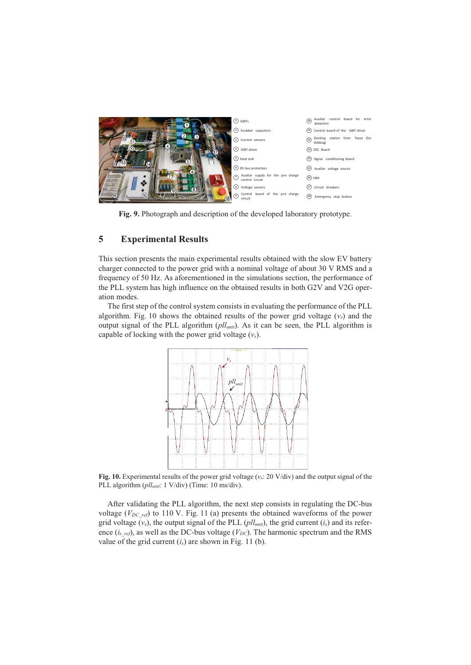

**Fig. 9.** Photograph and description of the developed laboratory prototype.

# **5 Experimental Results**

This section presents the main experimental results obtained with the slow EV battery charger connected to the power grid with a nominal voltage of about 30 V RMS and a frequency of 50 Hz. As aforementioned in the simulations section, the performance of the PLL system has high influence on the obtained results in both G2V and V2G operation modes.

The first step of the control system consists in evaluating the performance of the PLL algorithm. Fig. 10 shows the obtained results of the power grid voltage  $(v<sub>s</sub>)$  and the output signal of the PLL algorithm (*pllunit*). As it can be seen, the PLL algorithm is capable of locking with the power grid voltage (*vs*).



**Fig. 10.** Experimental results of the power grid voltage (*vs*: 20 V/div) and the output signal of the PLL algorithm (*pllunit*: 1 V/div) (Time: 10 ms/div).

After validating the PLL algorithm, the next step consists in regulating the DC-bus voltage ( $V_{DC\ ref}$ ) to 110 V. Fig. 11 (a) presents the obtained waveforms of the power grid voltage  $(v_s)$ , the output signal of the PLL  $(pll_{unit})$ , the grid current  $(i_s)$  and its reference  $(i_{s~ref})$ , as well as the DC-bus voltage ( $V_{DC}$ ). The harmonic spectrum and the RMS value of the grid current  $(i<sub>s</sub>)$  are shown in Fig. 11 (b).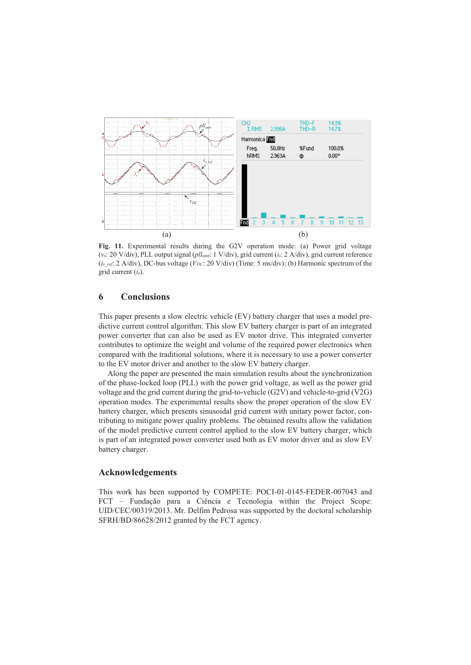

**Fig. 11.** Experimental results during the G2V operation mode: (a) Power grid voltage (*vs*: 20 V/div), PLL output signal (*pllunit*: 1 V/div), grid current (*is*: 2 A/div), grid current reference (*is\_ref*: 2 A/div), DC-bus voltage (*VDC*: 20 V/div) (Time: 5 ms/div); (b) Harmonic spectrum of the grid current (*is*).

# **6 Conclusions**

This paper presents a slow electric vehicle (EV) battery charger that uses a model predictive current control algorithm. This slow EV battery charger is part of an integrated power converter that can also be used as EV motor drive. This integrated converter contributes to optimize the weight and volume of the required power electronics when compared with the traditional solutions, where it is necessary to use a power converter to the EV motor driver and another to the slow EV battery charger.

Along the paper are presented the main simulation results about the synchronization of the phase-locked loop (PLL) with the power grid voltage, as well as the power grid voltage and the grid current during the grid-to-vehicle (G2V) and vehicle-to-grid (V2G) operation modes. The experimental results show the proper operation of the slow EV battery charger, which presents sinusoidal grid current with unitary power factor, contributing to mitigate power quality problems. The obtained results allow the validation of the model predictive current control applied to the slow EV battery charger, which is part of an integrated power converter used both as EV motor driver and as slow EV battery charger.

### **Acknowledgements**

This work has been supported by COMPETE: POCI-01-0145-FEDER-007043 and FCT – Fundação para a Ciência e Tecnologia within the Project Scope: UID/CEC/00319/2013. Mr. Delfim Pedrosa was supported by the doctoral scholarship SFRH/BD/86628/2012 granted by the FCT agency.